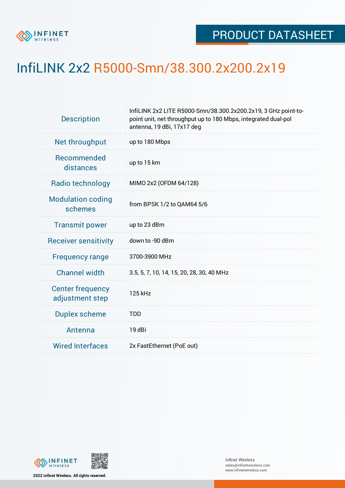

## InfiLINK 2x2 R5000-Smn/38.300.2x200.2x19

| <b>Description</b>                         | InfiLINK 2x2 LITE R5000-Smn/38.300.2x200.2x19, 3 GHz point-to-<br>point unit, net throughput up to 180 Mbps, integrated dual-pol<br>antenna, 19 dBi, 17x17 deg |
|--------------------------------------------|----------------------------------------------------------------------------------------------------------------------------------------------------------------|
| Net throughput                             | up to 180 Mbps                                                                                                                                                 |
| Recommended<br>distances                   | up to 15 km                                                                                                                                                    |
| Radio technology                           | MIMO 2x2 (OFDM 64/128)                                                                                                                                         |
| <b>Modulation coding</b><br>schemes        | from BPSK 1/2 to QAM64 5/6                                                                                                                                     |
| <b>Transmit power</b>                      | up to 23 dBm                                                                                                                                                   |
| <b>Receiver sensitivity</b>                | down to -90 dBm                                                                                                                                                |
| <b>Frequency range</b>                     | 3700-3900 MHz                                                                                                                                                  |
| <b>Channel width</b>                       | 3.5, 5, 7, 10, 14, 15, 20, 28, 30, 40 MHz                                                                                                                      |
| <b>Center frequency</b><br>adjustment step | 125 kHz                                                                                                                                                        |
| <b>Duplex scheme</b>                       | <b>TDD</b>                                                                                                                                                     |
| Antenna                                    | 19 dBi                                                                                                                                                         |
| <b>Wired Interfaces</b>                    | 2x FastEthernet (PoE out)                                                                                                                                      |



**2022 Infinet Wireless. All rights reserved.**

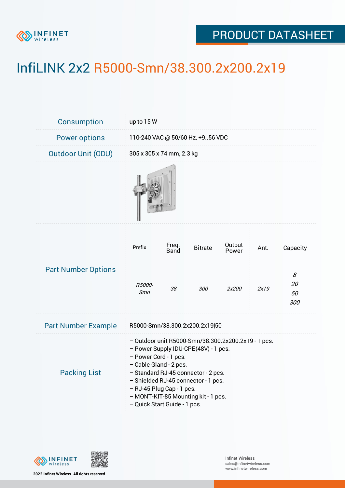

## PRODUCT DATASHEET

## InfiLINK 2x2 R5000-Smn/38.300.2x200.2x19

| Consumption                | up to 15 W                                                                                                                                                                                                                                                                                                                       |                           |                |                 |      |                      |  |  |
|----------------------------|----------------------------------------------------------------------------------------------------------------------------------------------------------------------------------------------------------------------------------------------------------------------------------------------------------------------------------|---------------------------|----------------|-----------------|------|----------------------|--|--|
| <b>Power options</b>       | 110-240 VAC @ 50/60 Hz, +956 VDC                                                                                                                                                                                                                                                                                                 |                           |                |                 |      |                      |  |  |
| <b>Outdoor Unit (ODU)</b>  |                                                                                                                                                                                                                                                                                                                                  | 305 x 305 x 74 mm, 2.3 kg |                |                 |      |                      |  |  |
|                            |                                                                                                                                                                                                                                                                                                                                  |                           |                |                 |      |                      |  |  |
| <b>Part Number Options</b> | Prefix                                                                                                                                                                                                                                                                                                                           | Freq.<br><b>Band</b>      | <b>Bitrate</b> | Output<br>Power | Ant. | Capacity             |  |  |
|                            | R5000-<br>Smn                                                                                                                                                                                                                                                                                                                    | 38                        | 300            | 2x200           | 2x19 | 8<br>20<br>50<br>300 |  |  |
| <b>Part Number Example</b> | R5000-Smn/38.300.2x200.2x19 50                                                                                                                                                                                                                                                                                                   |                           |                |                 |      |                      |  |  |
| <b>Packing List</b>        | - Outdoor unit R5000-Smn/38.300.2x200.2x19 - 1 pcs.<br>- Power Supply IDU-CPE(48V) - 1 pcs.<br>- Power Cord - 1 pcs.<br>- Cable Gland - 2 pcs.<br>- Standard RJ-45 connector - 2 pcs.<br>- Shielded RJ-45 connector - 1 pcs.<br>- RJ-45 Plug Cap - 1 pcs.<br>- MONT-KIT-85 Mounting kit - 1 pcs.<br>- Quick Start Guide - 1 pcs. |                           |                |                 |      |                      |  |  |



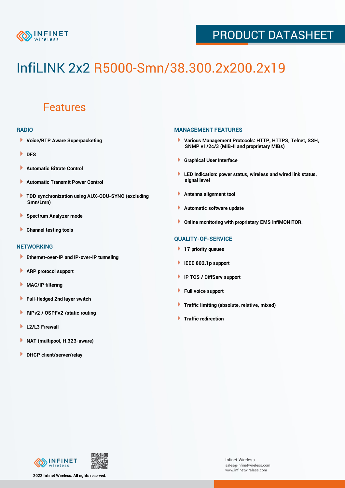

## PRODUCT DATASHEET

# InfiLINK 2x2 R5000-Smn/38.300.2x200.2x19

### Features

#### **RADIO**

- **Voice/RTP Aware Superpacketing**
- **DFS**
- **Automatic Bitrate Control** Þ
- Þ **Automatic Transmit Power Control**
- ь **TDD synchronization using AUX-ODU-SYNC (excluding Smn/Lmn)**
- **Spectrum Analyzer mode** ۰
- **Channel testing tools** ١

#### **NETWORKING**

- **Ethernet-over-IP and IP-over-IP tunneling**
- Þ **ARP protocol support**
- ۱ **MAC/IP filtering**
- Þ **Full-fledged 2nd layer switch**
- Þ **RIPv2 / OSPFv2 /static routing**
- **L2/L3 Firewall** Þ
- **NAT (multipool, H.323-aware)** Þ
- Þ **DHCP client/server/relay**

#### **MANAGEMENT FEATURES**

- **Various Management Protocols: HTTP, HTTPS, Telnet, SSH, SNMP v1/2c/3 (MIB-II and proprietary MIBs)**
- **Graphical User Interface**
- **LED Indication: power status, wireless and wired link status, signal level**
- **Antenna alignment tool**
- ٠ **Automatic software update**
- **Online monitoring with proprietary EMS InfiMONITOR.**

#### **QUALITY-OF-SERVICE**

- **17 priority queues**
- **IEEE 802.1p support**
- **IP TOS / DiffServ support**
- ٠ **Full voice support**
- **Traffic limiting (absolute, relative, mixed)** ٠
- **Traffic redirection**